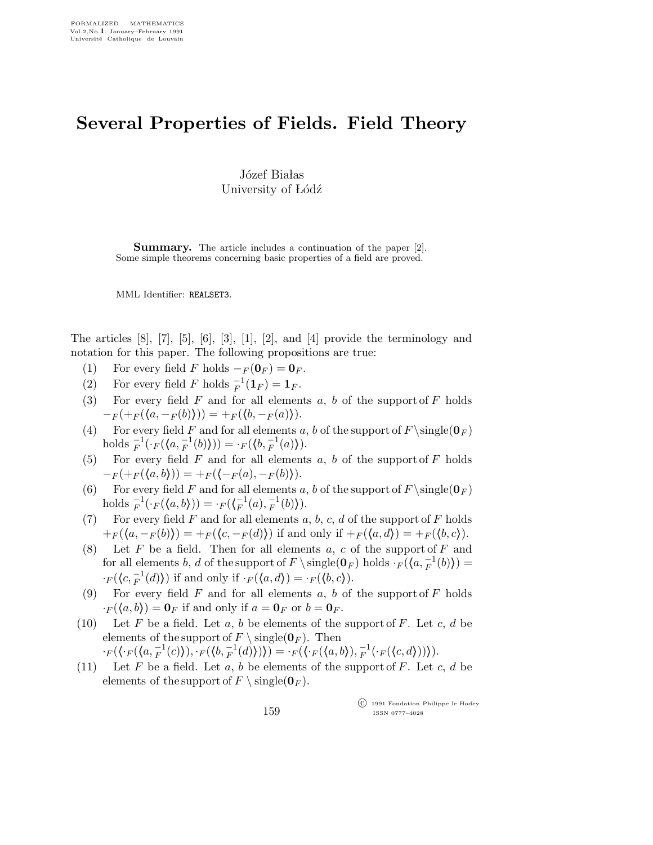## Several Properties of Fields. Field Theory

Józef Białas University of Lódź

Summary. The article includes a continuation of the paper [2]. Some simple theorems concerning basic properties of a field are proved.

MML Identifier: REALSET3.

The articles [8], [7], [5], [6], [3], [1], [2], and [4] provide the terminology and notation for this paper. The following propositions are true:

- (1) For every field F holds  $-F(\mathbf{0}_F) = \mathbf{0}_F$ .
- (2) For every field F holds  $_{F}^{-1}(\mathbf{1}_{F}) = \mathbf{1}_{F}$ .
- (3) For every field  $F$  and for all elements  $a, b$  of the support of  $F$  holds  $-F(+F(\langle a,-F(b)\rangle))=F(\langle b,-F(a)\rangle).$
- (4) For every field F and for all elements a, b of the support of  $F \simeq (0_F)$ holds  $_{F}^{-1}(\cdot_{F}(\langle a, _{F}^{-1}(b)\rangle)) = \cdot_{F}(\langle b, _{F}^{-1}(a)\rangle).$
- (5) For every field  $F$  and for all elements  $a, b$  of the support of  $F$  holds  $-F(+F(\langle a,b \rangle)) = +F(\langle -F(a), -F(b) \rangle).$
- (6) For every field F and for all elements a, b of the support of  $F \simeq (0_F)$ holds  $_{F}^{-1}(\cdot_{F}(\langle a,b \rangle)) = \cdot_{F}(\langle F^{-1}_{F}(a), F^{-1}_{F}(b) \rangle).$
- (7) For every field F and for all elements  $a, b, c, d$  of the support of F holds  $+ F(\langle a, -F(b)\rangle) = + F(\langle c, -F(d)\rangle)$  if and only if  $+ F(\langle a, d\rangle) = + F(\langle b, c\rangle).$
- (8) Let  $F$  be a field. Then for all elements  $a, c$  of the support of  $F$  and for all elements b, d of the support of  $F \setminus \{0, F\}$  holds  $\cdot_F(\{a, \frac{-1}{F}(b)\}) =$  $\cdot_F(\langle c, F^{-1}(d) \rangle)$  if and only if  $\cdot_F(\langle a, d \rangle) = \cdot_F(\langle b, c \rangle)$ .
- (9) For every field  $F$  and for all elements  $a, b$  of the support of  $F$  holds  $\cdot_F(\langle a,b\rangle) = \mathbf{0}_F$  if and only if  $a = \mathbf{0}_F$  or  $b = \mathbf{0}_F$ .
- (10) Let F be a field. Let a, b be elements of the support of F. Let c, d be elements of the support of  $F \setminus \{ \text{single}(\mathbf{0}_F) \}$ . Then  $\cdot_F(\langle \cdot_F(\langle a, \overline{F}^1(c)\rangle), \cdot_F(\langle b, \overline{F}^1(d)\rangle))\rangle) = \cdot_F(\langle \cdot_F(\langle a,b\rangle), \overline{F}^1(\cdot_F(\langle c,d\rangle))\rangle).$
- (11) Let F be a field. Let a, b be elements of the support of F. Let c, d be elements of the support of  $F \setminus \{ \text{single}(\mathbf{0}_F) \}.$

 c 1991 Fondation Philippe le Hodey ISSN 0777–4028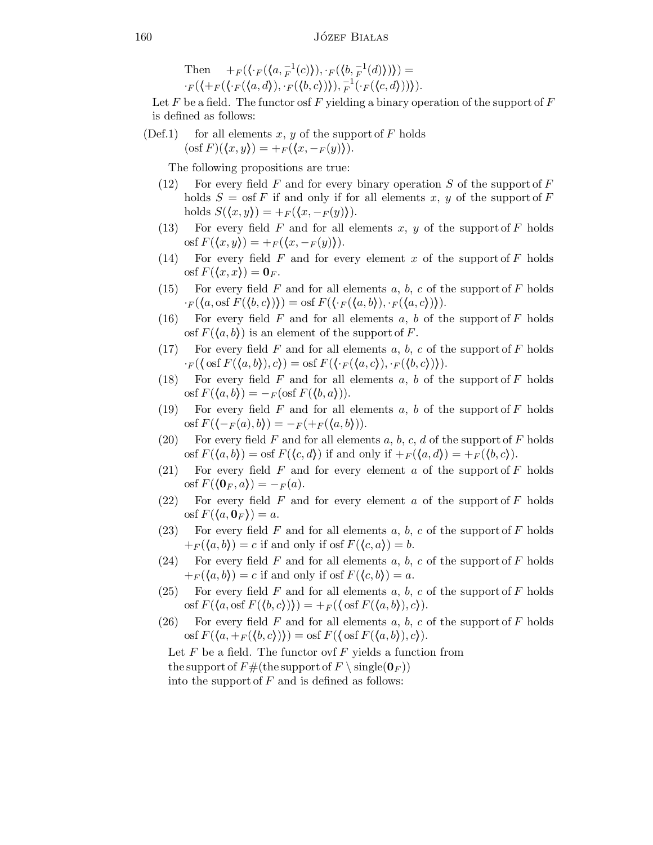Then  $+_{F}(\langle \cdot_F(\langle a, F^{-1}(c) \rangle), \cdot_F(\langle b, F^{-1}(d) \rangle)) =$  $\cdot_F(\langle +_F(\langle \cdot, d \rangle), \cdot_F(\langle b, c \rangle)), \frac{-1}{F}(\cdot_F(\langle c, d \rangle)))\rangle.$ 

Let F be a field. The functor osf F yielding a binary operation of the support of  $F$ is defined as follows:

(Def.1) for all elements x, y of the support of F holds  $(\text{osf } F)(\langle x,y \rangle) = +F(\langle x, -F(y) \rangle).$ 

The following propositions are true:

- (12) For every field F and for every binary operation S of the support of F holds  $S = \text{osf } F$  if and only if for all elements x, y of the support of F holds  $S(\langle x,y\rangle) = +F(\langle x,-F(y)\rangle).$
- (13) For every field  $F$  and for all elements  $x, y$  of the support of  $F$  holds osf  $F(\langle x,y\rangle) = +F(\langle x,-F(y)\rangle).$
- (14) For every field  $F$  and for every element  $x$  of the support of  $F$  holds osf  $F(\langle x,x\rangle) = \mathbf{0}_F$ .
- (15) For every field F and for all elements a, b, c of the support of F holds  $\cdot_F(\langle a, \text{osf } F(\langle b, c \rangle)) \rangle = \text{osf } F(\langle \cdot_F(\langle a, b \rangle), \cdot_F(\langle a, c \rangle)) \rangle.$
- (16) For every field F and for all elements a, b of the support of F holds osf  $F(\langle a,b \rangle)$  is an element of the support of F.
- $(17)$  For every field F and for all elements a, b, c of the support of F holds  $\cdot_F(\langle \text{osf } F(\langle a,b \rangle),c\rangle) = \text{osf } F(\langle \cdot_F(\langle a,c \rangle), \cdot_F(\langle b,c \rangle)).$
- (18) For every field F and for all elements a, b of the support of F holds osf  $F(\langle a,b \rangle) = -F(\text{osf } F(\langle b,a \rangle)).$
- (19) For every field  $F$  and for all elements  $a, b$  of the support of  $F$  holds osf  $F(\langle -F(a),b\rangle) = -F(\langle a,b\rangle)).$
- (20) For every field F and for all elements  $a, b, c, d$  of the support of F holds osf  $F(\langle a,b \rangle) = \text{osf } F(\langle c,d \rangle)$  if and only if  $+F(\langle a,d \rangle) = +F(\langle b,c \rangle)$ .
- (21) For every field F and for every element a of the support of F holds osf  $F(\langle 0_F , a \rangle) = -F(a).$
- (22) For every field F and for every element a of the support of F holds osf  $F({a, \mathbf{0}_F}) = a$ .
- (23) For every field F and for all elements a, b, c of the support of F holds  $+ F(\langle a,b \rangle) = c$  if and only if osf  $F(\langle c,a \rangle) = b$ .
- (24) For every field F and for all elements a, b, c of the support of F holds  $+ F(\langle a,b \rangle) = c$  if and only if osf  $F(\langle c,b \rangle) = a$ .
- (25) For every field F and for all elements  $a, b, c$  of the support of F holds osf  $F(\langle a, \text{osf } F(\langle b, c \rangle)) \rangle = +F(\langle \text{osf } F(\langle a, b \rangle), c \rangle).$
- (26) For every field F and for all elements a, b, c of the support of F holds osf  $F(\langle a, +_F(\langle b, c \rangle)) \rangle = \text{osf } F(\langle \text{osf } F(\langle a, b \rangle), c \rangle).$

Let  $F$  be a field. The functor ovf  $F$  yields a function from the support of  $F\#$ (the support of  $F \setminus \{ \text{single}(\mathbf{0}_F) \}$ ) into the support of  $F$  and is defined as follows: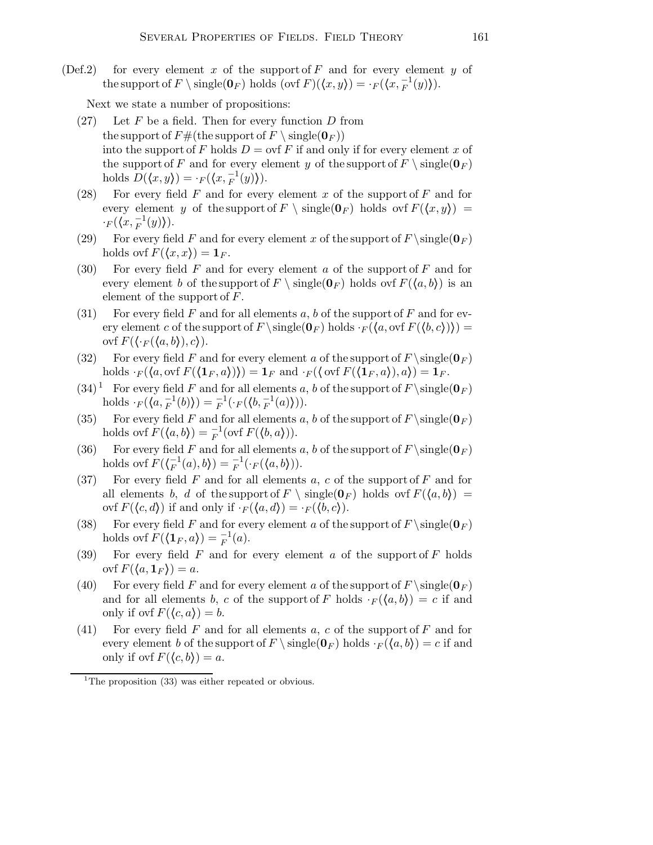(Def.2) for every element x of the support of  $F$  and for every element y of the support of  $F \setminus \text{single}(\mathbf{0}_F)$  holds  $(\text{ovf } F)(\langle x, y \rangle) = \cdot_F (\langle x, \frac{1}{F}(y) \rangle).$ 

Next we state a number of propositions:

- $(27)$  Let F be a field. Then for every function D from the support of  $F#$ (the support of  $F \setminus \{ \text{single}(\mathbf{0}_F) \}$ ) into the support of F holds  $D = \text{ovf } F$  if and only if for every element x of the support of F and for every element y of the support of  $F \setminus \{ \text{single}(\mathbf{0}_F) \}$ holds  $D(\langle x,y\rangle) = \cdot_F(\langle x,\frac{-1}{F}(y)\rangle).$
- (28) For every field  $F$  and for every element  $x$  of the support of  $F$  and for every element y of the support of  $F \setminus \{ \infty(F) \}$  holds ovf  $F(\langle x,y \rangle) =$  $\cdot_F(\langle x,\frac{-1}{F}(y)\rangle).$
- (29) For every field F and for every element x of the support of  $F \setminus \{ \text{single}(\mathbf{0}_F) \}$ holds ovf  $F(\langle x,x\rangle) = 1_F$ .
- (30) For every field  $F$  and for every element  $a$  of the support of  $F$  and for every element b of the support of  $F \setminus \{(\mathbf{0}_F) \text{ holds over } F(\langle a,b \rangle) \text{ is an}$ element of the support of  $F$ .
- (31) For every field F and for all elements a, b of the support of F and for every element c of the support of  $F \setminus \{0_F\}$  holds  $\cdot_F(\langle a, \text{ovf } F(\langle b, c \rangle)) =$ ovf  $F(\langle \cdot_F (\langle a,b \rangle),c \rangle)$ .
- (32) For every field F and for every element a of the support of  $F \setminus \{0F}$ holds  $\cdot_F(\langle a, \text{ovf } F(\langle \mathbf{1}_F , a \rangle)) \rangle = \mathbf{1}_F$  and  $\cdot_F(\langle \text{ovf } F(\langle \mathbf{1}_F , a \rangle), a \rangle) = \mathbf{1}_F$ .
- $(34)^1$  For every field F and for all elements a, b of the support of  $F \simeq (0_F)$ holds  $\cdot_F(\langle a, \frac{-1}{F}(b) \rangle) = \frac{-1}{F}(\cdot_F(\langle b, \frac{-1}{F}(a) \rangle)).$
- (35) For every field F and for all elements a, b of the support of  $F \simeq (0_F)$ holds ovf  $F(\langle a,b \rangle) = \frac{-1}{F}$  (ovf  $F(\langle b,a \rangle)$ ).
- (36) For every field F and for all elements a, b of the support of  $F \simeq (0_F)$ holds ovf  $F(\langle F^{1}(a), b \rangle) = \frac{-1}{F}(\cdot_F(\langle a, b \rangle)).$
- (37) For every field  $F$  and for all elements  $a, c$  of the support of  $F$  and for all elements b, d of the support of  $F \setminus \{ge(0_F) \text{ holds over } F(\langle a,b \rangle) =$ ovf  $F(\langle c,d \rangle)$  if and only if  $\cdot_F(\langle a,d \rangle) = \cdot_F(\langle b,c \rangle)$ .
- (38) For every field F and for every element a of the support of  $F \setminus \{ \text{single}(\mathbf{0}_F) \}$ holds ovf  $F(\langle \mathbf{1}_F, a \rangle) = \frac{-1}{F}(a)$ .
- (39) For every field F and for every element a of the support of F holds ovf  $F(\langle a, \mathbf{1}_F \rangle) = a$ .
- (40) For every field F and for every element a of the support of  $F \setminus \text{single}(0_F)$ and for all elements b, c of the support of F holds  $\cdot_F(\langle a,b \rangle) = c$  if and only if ovf  $F(\langle c,a \rangle) = b$ .
- (41) For every field F and for all elements a, c of the support of F and for every element b of the support of  $F \setminus \{0_F\}$  holds  $\cdot_F(\langle a,b \rangle) = c$  if and only if ovf  $F(\langle c,b \rangle) = a$ .

<sup>&</sup>lt;sup>1</sup>The proposition  $(33)$  was either repeated or obvious.